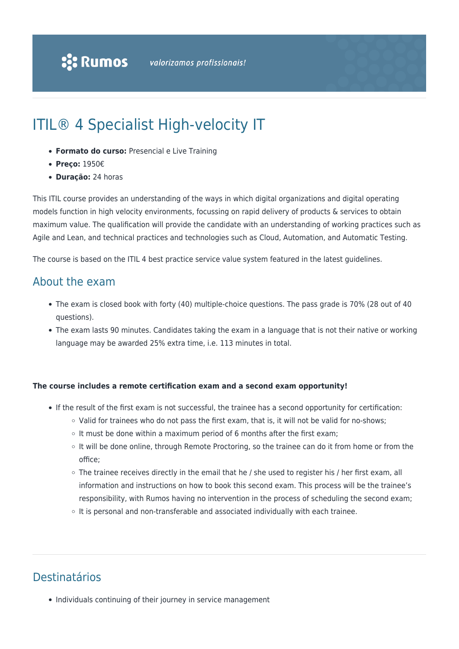# ITIL® 4 Specialist High-velocity IT

- **Formato do curso:** Presencial e Live Training
- **Preço:** 1950€
- **Duração:** 24 horas

This ITIL course provides an understanding of the ways in which digital organizations and digital operating models function in high velocity environments, focussing on rapid delivery of products & services to obtain maximum value. The qualification will provide the candidate with an understanding of working practices such as Agile and Lean, and technical practices and technologies such as Cloud, Automation, and Automatic Testing.

The course is based on the ITIL 4 best practice service value system featured in the latest guidelines.

### About the exam

- The exam is closed book with forty (40) multiple-choice questions. The pass grade is 70% (28 out of 40 questions).
- The exam lasts 90 minutes. Candidates taking the exam in a language that is not their native or working language may be awarded 25% extra time, i.e. 113 minutes in total.

#### **The course includes a remote certification exam and a second exam opportunity!**

- If the result of the first exam is not successful, the trainee has a second opportunity for certification:
	- $\circ$  Valid for trainees who do not pass the first exam, that is, it will not be valid for no-shows;
	- $\circ$  It must be done within a maximum period of 6 months after the first exam;
	- It will be done online, through Remote Proctoring, so the trainee can do it from home or from the office;
	- The trainee receives directly in the email that he / she used to register his / her first exam, all information and instructions on how to book this second exam. This process will be the trainee's responsibility, with Rumos having no intervention in the process of scheduling the second exam;
	- $\circ$  It is personal and non-transferable and associated individually with each trainee.

# Destinatários

• Individuals continuing of their journey in service management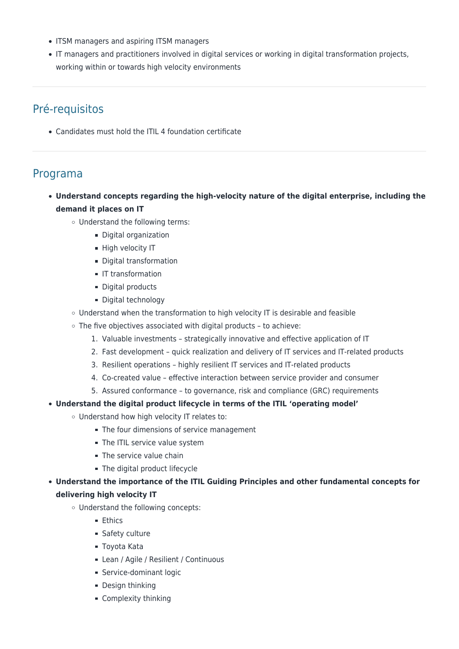- ITSM managers and aspiring ITSM managers
- IT managers and practitioners involved in digital services or working in digital transformation projects, working within or towards high velocity environments

# Pré-requisitos

Candidates must hold the ITIL 4 foundation certificate

### Programa

- **Understand concepts regarding the high-velocity nature of the digital enterprise, including the demand it places on IT**
	- Understand the following terms:
		- Digital organization
		- High velocity IT
		- **Digital transformation**
		- **IT transformation**
		- Digital products
		- Digital technology
	- Understand when the transformation to high velocity IT is desirable and feasible
	- $\circ$  The five objectives associated with digital products to achieve:
		- 1. Valuable investments strategically innovative and effective application of IT
		- 2. Fast development quick realization and delivery of IT services and IT-related products
		- 3. Resilient operations highly resilient IT services and IT-related products
		- 4. Co-created value effective interaction between service provider and consumer
		- 5. Assured conformance to governance, risk and compliance (GRC) requirements
- **Understand the digital product lifecycle in terms of the ITIL 'operating model'**
	- Understand how high velocity IT relates to:
		- The four dimensions of service management
		- The ITIL service value system
		- The service value chain
		- The digital product lifecycle

**Understand the importance of the ITIL Guiding Principles and other fundamental concepts for delivering high velocity IT**

- Understand the following concepts:
	- **Ethics**
	- **Safety culture**
	- Toyota Kata
	- **Lean / Agile / Resilient / Continuous**
	- **Service-dominant logic**
	- **Design thinking**
	- **Complexity thinking**